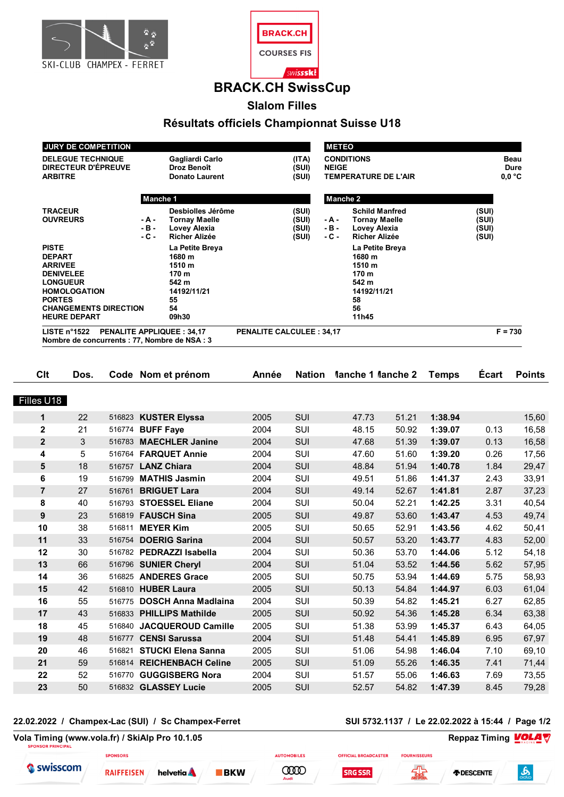



# **BRACK.CH SwissCup**

**Slalom Filles**

# **Résultats officiels Championnat Suisse U18**

| <b>JURY DE COMPETITION</b>         |          |                          |                                      |                   | <b>METEO</b>          |        |  |  |  |
|------------------------------------|----------|--------------------------|--------------------------------------|-------------------|-----------------------|--------|--|--|--|
| <b>DELEGUE TECHNIQUE</b>           |          | Gagliardi Carlo<br>(ITA) |                                      | <b>CONDITIONS</b> |                       |        |  |  |  |
| DIRECTEUR D'ÉPREUVE                |          | Droz Benoît              | (SUI)                                | <b>NEIGE</b>      | Dure                  |        |  |  |  |
| <b>ARBITRE</b>                     |          | <b>Donato Laurent</b>    | (SUI)<br><b>TEMPERATURE DE L'AIR</b> |                   |                       | 0.0 °C |  |  |  |
|                                    | Manche 1 |                          |                                      | Manche 2          |                       |        |  |  |  |
| <b>TRACEUR</b>                     |          | Desbiolles Jérôme        | (SUI)                                |                   | <b>Schild Manfred</b> | (SUI)  |  |  |  |
| <b>OUVREURS</b>                    | - A -    | Tornay Maelle            | (SUI)                                | - A -             | Tornay Maelle         | (SUI)  |  |  |  |
|                                    | $-B -$   | Lovey Alexia             | (SUI)                                | - B -             | Lovey Alexia          | (SUI)  |  |  |  |
|                                    | $-C -$   | <b>Richer Alizée</b>     | (SUI)                                | - C -             | <b>Richer Alizée</b>  | (SUI)  |  |  |  |
| <b>PISTE</b>                       |          | La Petite Breya          |                                      |                   | La Petite Breya       |        |  |  |  |
| <b>DEPART</b>                      |          | 1680 m                   |                                      |                   | 1680 m                |        |  |  |  |
| <b>ARRIVEE</b>                     | 1510 m   |                          |                                      |                   | 1510 m                |        |  |  |  |
| <b>DENIVELEE</b>                   |          | 170 m                    |                                      |                   | 170 m                 |        |  |  |  |
| <b>LONGUEUR</b><br>542 m           |          |                          |                                      |                   | 542 m                 |        |  |  |  |
| <b>HOMOLOGATION</b><br>14192/11/21 |          |                          |                                      |                   | 14192/11/21           |        |  |  |  |
| <b>PORTES</b><br>55                |          |                          |                                      |                   | 58                    |        |  |  |  |
| <b>CHANGEMENTS DIRECTION</b><br>54 |          |                          |                                      |                   | 56                    |        |  |  |  |
| <b>HEURE DEPART</b><br>09h30       |          |                          |                                      |                   | 11h45                 |        |  |  |  |

| Clt            | Dos. |        | Code Nom et prénom         | Année | Nation     | Manche 1 Manche 2 |       | <b>Temps</b> | <b>Ecart</b> | <b>Points</b> |
|----------------|------|--------|----------------------------|-------|------------|-------------------|-------|--------------|--------------|---------------|
|                |      |        |                            |       |            |                   |       |              |              |               |
| Filles U18     |      |        |                            |       |            |                   |       |              |              |               |
| $\mathbf{1}$   | 22   |        | 516823 KUSTER Elyssa       | 2005  | <b>SUI</b> | 47.73             | 51.21 | 1:38.94      |              | 15,60         |
| $\mathbf 2$    | 21   |        | 516774 BUFF Faye           | 2004  | SUI        | 48.15             | 50.92 | 1:39.07      | 0.13         | 16,58         |
| $\mathbf{2}$   | 3    |        | 516783 MAECHLER Janine     | 2004  | SUI        | 47.68             | 51.39 | 1:39.07      | 0.13         | 16,58         |
| 4              | 5    |        | 516764 FARQUET Annie       | 2004  | SUI        | 47.60             | 51.60 | 1:39.20      | 0.26         | 17,56         |
| 5              | 18   |        | 516757 LANZ Chiara         | 2004  | SUI        | 48.84             | 51.94 | 1:40.78      | 1.84         | 29,47         |
| 6              | 19   | 516799 | <b>MATHIS Jasmin</b>       | 2004  | SUI        | 49.51             | 51.86 | 1:41.37      | 2.43         | 33,91         |
| $\overline{7}$ | 27   | 516761 | <b>BRIGUET Lara</b>        | 2004  | SUI        | 49.14             | 52.67 | 1:41.81      | 2.87         | 37,23         |
| 8              | 40   |        | 516793 STOESSEL Eliane     | 2004  | SUI        | 50.04             | 52.21 | 1:42.25      | 3.31         | 40,54         |
| 9              | 23   |        | 516819 <b>FAUSCH Sina</b>  | 2005  | SUI        | 49.87             | 53.60 | 1:43.47      | 4.53         | 49,74         |
| 10             | 38   | 516811 | <b>MEYER Kim</b>           | 2005  | SUI        | 50.65             | 52.91 | 1:43.56      | 4.62         | 50,41         |
| 11             | 33   |        | 516754 DOERIG Sarina       | 2004  | SUI        | 50.57             | 53.20 | 1:43.77      | 4.83         | 52,00         |
| 12             | 30   |        | 516782 PEDRAZZI Isabella   | 2004  | SUI        | 50.36             | 53.70 | 1:44.06      | 5.12         | 54,18         |
| 13             | 66   |        | 516796 SUNIER Cheryl       | 2004  | SUI        | 51.04             | 53.52 | 1:44.56      | 5.62         | 57,95         |
| 14             | 36   |        | 516825 ANDERES Grace       | 2005  | SUI        | 50.75             | 53.94 | 1:44.69      | 5.75         | 58,93         |
| 15             | 42   |        | 516810 HUBER Laura         | 2005  | SUI        | 50.13             | 54.84 | 1:44.97      | 6.03         | 61,04         |
| 16             | 55   |        | 516775 DOSCH Anna Madlaina | 2004  | SUI        | 50.39             | 54.82 | 1:45.21      | 6.27         | 62,85         |
| 17             | 43   |        | 516833 PHILLIPS Mathilde   | 2005  | SUI        | 50.92             | 54.36 | 1:45.28      | 6.34         | 63,38         |
| 18             | 45   | 516840 | <b>JACQUEROUD Camille</b>  | 2005  | SUI        | 51.38             | 53.99 | 1:45.37      | 6.43         | 64,05         |
| 19             | 48   | 516777 | <b>CENSI Sarussa</b>       | 2004  | SUI        | 51.48             | 54.41 | 1:45.89      | 6.95         | 67,97         |
| 20             | 46   | 516821 | <b>STUCKI Elena Sanna</b>  | 2005  | SUI        | 51.06             | 54.98 | 1:46.04      | 7.10         | 69,10         |
| 21             | 59   |        | 516814 REICHENBACH Celine  | 2005  | SUI        | 51.09             | 55.26 | 1:46.35      | 7.41         | 71,44         |
| 22             | 52   | 516770 | <b>GUGGISBERG Nora</b>     | 2004  | SUI        | 51.57             | 55.06 | 1:46.63      | 7.69         | 73,55         |
| 23             | 50   |        | 516832 GLASSEY Lucie       | 2005  | SUI        | 52.57             | 54.82 | 1:47.39      | 8.45         | 79,28         |
|                |      |        |                            |       |            |                   |       |              |              |               |

### **22.02.2022 / Champex-Lac (SUI) / Sc Champex-Ferret SUI 5732.1137 / Le 22.02.2022 à 15:44 / Page 1/2**

**SPONSORS** 

**Vola Timing (www.vola.fr) / SkiAlp Pro 10.1.05 Reppaz Timing VOLA** 

 $BKN$ 

Swisscom

**RAIFFEISEN** helvetia **A** 



**AUTOMOBILES** 



**OFFICIAL BROADCASTER** 



**FOURNISSEURS**